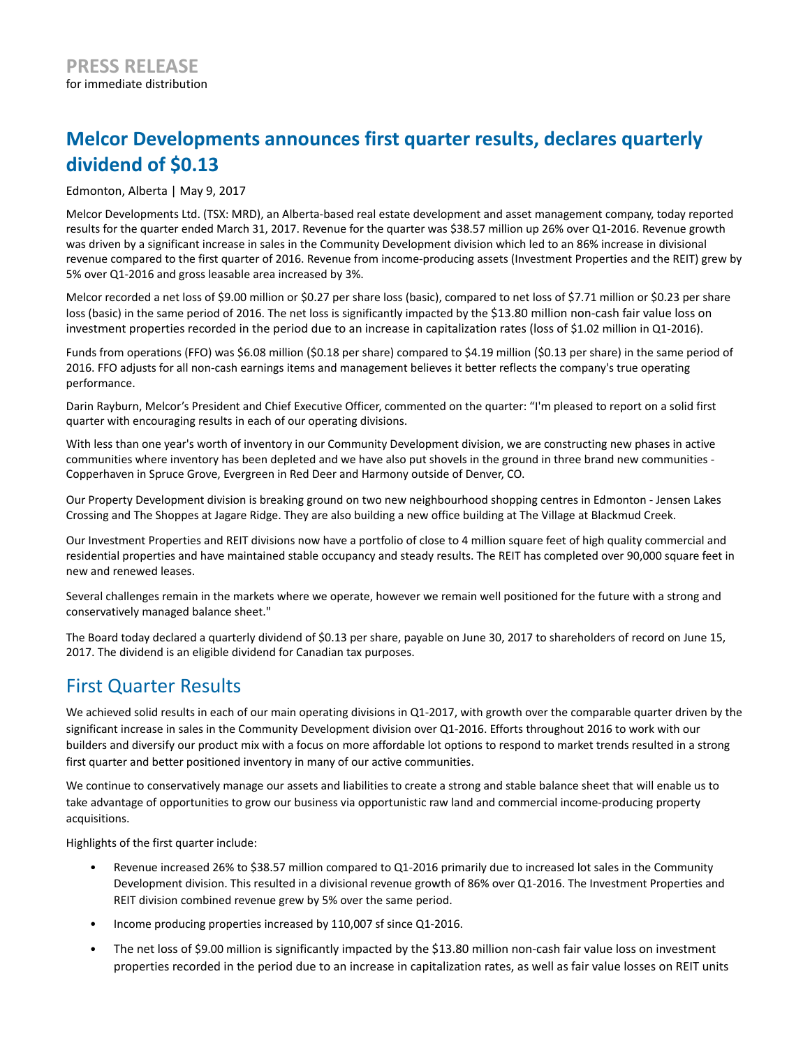# **Melcor Developments announces first quarter results, declares quarterly dividend of \$0.13**

### Edmonton, Alberta | May 9, 2017

Melcor Developments Ltd. (TSX: MRD), an Alberta-based real estate development and asset management company, today reported results for the quarter ended March 31, 2017. Revenue for the quarter was \$38.57 million up 26% over Q1-2016. Revenue growth was driven by a significant increase in sales in the Community Development division which led to an 86% increase in divisional revenue compared to the first quarter of 2016. Revenue from income-producing assets (Investment Properties and the REIT) grew by 5% over Q1-2016 and gross leasable area increased by 3%.

Melcor recorded a net loss of \$9.00 million or \$0.27 per share loss (basic), compared to net loss of \$7.71 million or \$0.23 per share loss (basic) in the same period of 2016. The net loss is significantly impacted by the \$13.80 million non-cash fair value loss on investment properties recorded in the period due to an increase in capitalization rates (loss of \$1.02 million in Q1-2016).

Funds from operations (FFO) was \$6.08 million (\$0.18 per share) compared to \$4.19 million (\$0.13 per share) in the same period of 2016. FFO adjusts for all non-cash earnings items and management believes it better reflects the company's true operating performance.

Darin Rayburn, Melcor's President and Chief Executive Officer, commented on the quarter: "I'm pleased to report on a solid first quarter with encouraging results in each of our operating divisions.

With less than one year's worth of inventory in our Community Development division, we are constructing new phases in active communities where inventory has been depleted and we have also put shovels in the ground in three brand new communities - Copperhaven in Spruce Grove, Evergreen in Red Deer and Harmony outside of Denver, CO.

Our Property Development division is breaking ground on two new neighbourhood shopping centres in Edmonton - Jensen Lakes Crossing and The Shoppes at Jagare Ridge. They are also building a new office building at The Village at Blackmud Creek.

Our Investment Properties and REIT divisions now have a portfolio of close to 4 million square feet of high quality commercial and residential properties and have maintained stable occupancy and steady results. The REIT has completed over 90,000 square feet in new and renewed leases.

Several challenges remain in the markets where we operate, however we remain well positioned for the future with a strong and conservatively managed balance sheet."

The Board today declared a quarterly dividend of \$0.13 per share, payable on June 30, 2017 to shareholders of record on June 15, 2017. The dividend is an eligible dividend for Canadian tax purposes.

### First Quarter Results

We achieved solid results in each of our main operating divisions in Q1-2017, with growth over the comparable quarter driven by the significant increase in sales in the Community Development division over Q1-2016. Efforts throughout 2016 to work with our builders and diversify our product mix with a focus on more affordable lot options to respond to market trends resulted in a strong first quarter and better positioned inventory in many of our active communities.

We continue to conservatively manage our assets and liabilities to create a strong and stable balance sheet that will enable us to take advantage of opportunities to grow our business via opportunistic raw land and commercial income-producing property acquisitions.

Highlights of the first quarter include:

- Revenue increased 26% to \$38.57 million compared to Q1-2016 primarily due to increased lot sales in the Community Development division. This resulted in a divisional revenue growth of 86% over Q1-2016. The Investment Properties and REIT division combined revenue grew by 5% over the same period.
- Income producing properties increased by 110,007 sf since Q1-2016.
- The net loss of \$9.00 million is significantly impacted by the \$13.80 million non-cash fair value loss on investment properties recorded in the period due to an increase in capitalization rates, as well as fair value losses on REIT units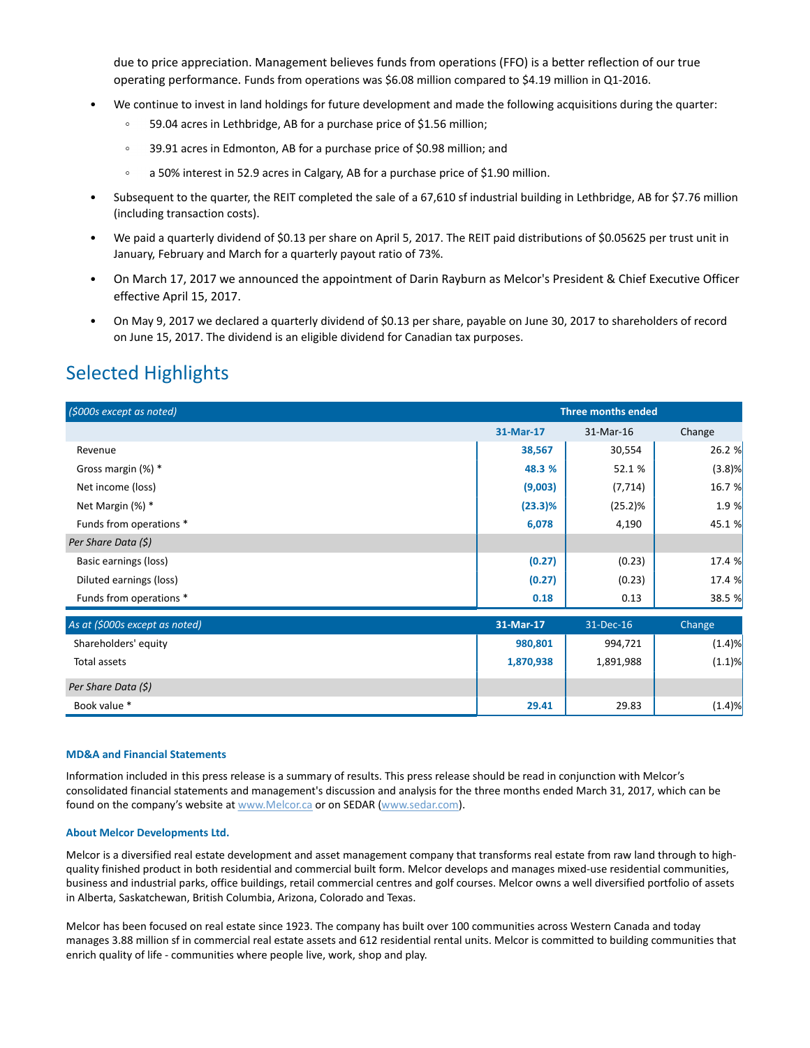due to price appreciation. Management believes funds from operations (FFO) is a better reflection of our true operating performance. Funds from operations was \$6.08 million compared to \$4.19 million in Q1-2016.

- We continue to invest in land holdings for future development and made the following acquisitions during the quarter:
	- 59.04 acres in Lethbridge, AB for a purchase price of \$1.56 million;  $\circ$
	- $\circ$ 39.91 acres in Edmonton, AB for a purchase price of \$0.98 million; and
	- a 50% interest in 52.9 acres in Calgary, AB for a purchase price of \$1.90 million.  $\circ$
- Subsequent to the quarter, the REIT completed the sale of a 67,610 sf industrial building in Lethbridge, AB for \$7.76 million (including transaction costs).
- We paid a quarterly dividend of \$0.13 per share on April 5, 2017. The REIT paid distributions of \$0.05625 per trust unit in January, February and March for a quarterly payout ratio of 73%.
- On March 17, 2017 we announced the appointment of Darin Rayburn as Melcor's President & Chief Executive Officer effective April 15, 2017.
- On May 9, 2017 we declared a quarterly dividend of \$0.13 per share, payable on June 30, 2017 to shareholders of record on June 15, 2017. The dividend is an eligible dividend for Canadian tax purposes.

## Selected Highlights

| (\$000s except as noted)       | <b>Three months ended</b> |           |           |
|--------------------------------|---------------------------|-----------|-----------|
|                                | 31-Mar-17                 | 31-Mar-16 | Change    |
| Revenue                        | 38,567                    | 30,554    | 26.2 %    |
| Gross margin (%) *             | 48.3 %                    | 52.1 %    | $(3.8)$ % |
| Net income (loss)              | (9,003)                   | (7, 714)  | 16.7 %    |
| Net Margin (%) *               | $(23.3)\%$                | (25.2)%   | 1.9%      |
| Funds from operations *        | 6,078                     | 4,190     | 45.1 %    |
| Per Share Data (\$)            |                           |           |           |
| Basic earnings (loss)          | (0.27)                    | (0.23)    | 17.4 %    |
| Diluted earnings (loss)        | (0.27)                    | (0.23)    | 17.4 %    |
| Funds from operations *        | 0.18                      | 0.13      | 38.5 %    |
| As at (\$000s except as noted) | 31-Mar-17                 | 31-Dec-16 | Change    |
| Shareholders' equity           | 980,801                   | 994,721   | (1.4)%    |
| Total assets                   | 1,870,938                 | 1,891,988 | (1.1)%    |
| Per Share Data (\$)            |                           |           |           |
| Book value *                   | 29.41                     | 29.83     | (1.4)%    |

#### **MD&A and Financial Statements**

Information included in this press release is a summary of results. This press release should be read in conjunction with Melcor's consolidated financial statements and management's discussion and analysis for the three months ended March 31, 2017, which can be found on the company's website at www.Melcor.ca or on SEDAR (www.sedar.com).

#### **About Melcor Developments Ltd.**

Melcor is a diversified real estate development and asset management company that transforms real estate from raw land through to highquality finished product in both residential and commercial built form. Melcor develops and manages mixed-use residential communities, business and industrial parks, office buildings, retail commercial centres and golf courses. Melcor owns a well diversified portfolio of assets in Alberta, Saskatchewan, British Columbia, Arizona, Colorado and Texas.

Melcor has been focused on real estate since 1923. The company has built over 100 communities across Western Canada and today manages 3.88 million sf in commercial real estate assets and 612 residential rental units. Melcor is committed to building communities that enrich quality of life - communities where people live, work, shop and play.